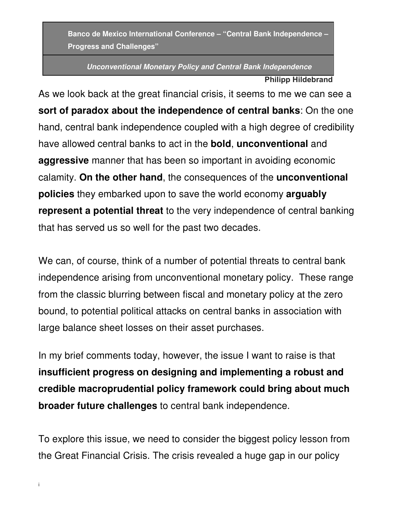**Banco de Mexico International Conference – "Central Bank Independence – Progress and Challenges"** 

**Unconventional Monetary Policy and Central Bank Independence**

**Philipp Hildebrand**

As we look back at the great financial crisis, it seems to me we can see a **sort of paradox about the independence of central banks**: On the one hand, central bank independence coupled with a high degree of credibility have allowed central banks to act in the **bold**, **unconventional** and **aggressive** manner that has been so important in avoiding economic calamity. **On the other hand**, the consequences of the **unconventional policies** they embarked upon to save the world economy **arguably represent a potential threat** to the very independence of central banking that has served us so well for the past two decades.

We can, of course, think of a number of potential threats to central bank independence arising from unconventional monetary policy. These range from the classic blurring between fiscal and monetary policy at the zero bound, to potential political attacks on central banks in association with large balance sheet losses on their asset purchases.

In my brief comments today, however, the issue I want to raise is that **insufficient progress on designing and implementing a robust and credible macroprudential policy framework could bring about much broader future challenges** to central bank independence.

To explore this issue, we need to consider the biggest policy lesson from the Great Financial Crisis. The crisis revealed a huge gap in our policy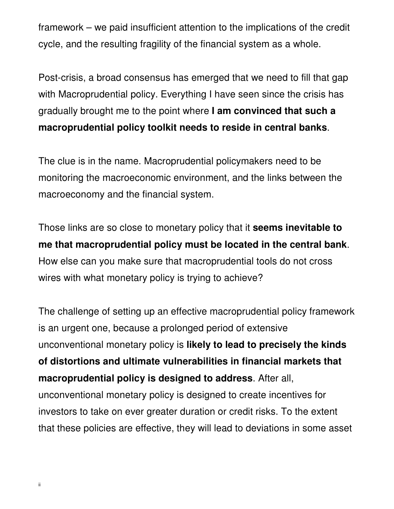framework – we paid insufficient attention to the implications of the credit cycle, and the resulting fragility of the financial system as a whole.

Post-crisis, a broad consensus has emerged that we need to fill that gap with Macroprudential policy. Everything I have seen since the crisis has gradually brought me to the point where **I am convinced that such a macroprudential policy toolkit needs to reside in central banks**.

The clue is in the name. Macroprudential policymakers need to be monitoring the macroeconomic environment, and the links between the macroeconomy and the financial system.

Those links are so close to monetary policy that it **seems inevitable to me that macroprudential policy must be located in the central bank**. How else can you make sure that macroprudential tools do not cross wires with what monetary policy is trying to achieve?

The challenge of setting up an effective macroprudential policy framework is an urgent one, because a prolonged period of extensive unconventional monetary policy is **likely to lead to precisely the kinds of distortions and ultimate vulnerabilities in financial markets that macroprudential policy is designed to address**. After all, unconventional monetary policy is designed to create incentives for investors to take on ever greater duration or credit risks. To the extent that these policies are effective, they will lead to deviations in some asset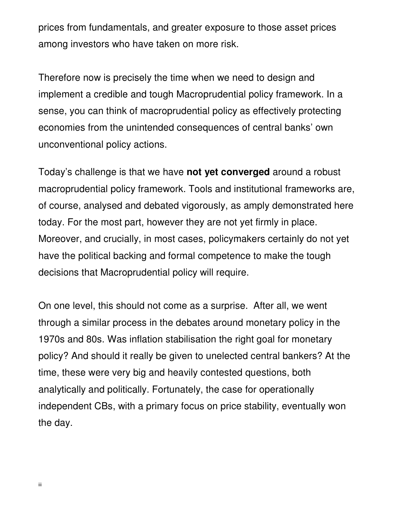prices from fundamentals, and greater exposure to those asset prices among investors who have taken on more risk.

Therefore now is precisely the time when we need to design and implement a credible and tough Macroprudential policy framework. In a sense, you can think of macroprudential policy as effectively protecting economies from the unintended consequences of central banks' own unconventional policy actions.

Today's challenge is that we have **not yet converged** around a robust macroprudential policy framework. Tools and institutional frameworks are, of course, analysed and debated vigorously, as amply demonstrated here today. For the most part, however they are not yet firmly in place. Moreover, and crucially, in most cases, policymakers certainly do not yet have the political backing and formal competence to make the tough decisions that Macroprudential policy will require.

On one level, this should not come as a surprise. After all, we went through a similar process in the debates around monetary policy in the 1970s and 80s. Was inflation stabilisation the right goal for monetary policy? And should it really be given to unelected central bankers? At the time, these were very big and heavily contested questions, both analytically and politically. Fortunately, the case for operationally independent CBs, with a primary focus on price stability, eventually won the day.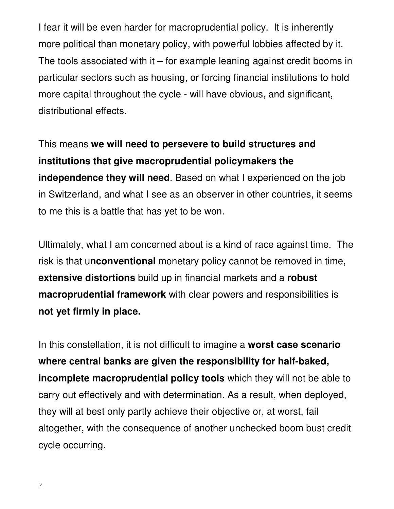I fear it will be even harder for macroprudential policy. It is inherently more political than monetary policy, with powerful lobbies affected by it. The tools associated with it  $-$  for example leaning against credit booms in particular sectors such as housing, or forcing financial institutions to hold more capital throughout the cycle - will have obvious, and significant, distributional effects.

This means **we will need to persevere to build structures and institutions that give macroprudential policymakers the independence they will need**. Based on what I experienced on the job in Switzerland, and what I see as an observer in other countries, it seems to me this is a battle that has yet to be won.

Ultimately, what I am concerned about is a kind of race against time. The risk is that u**nconventional** monetary policy cannot be removed in time, **extensive distortions** build up in financial markets and a **robust macroprudential framework** with clear powers and responsibilities is **not yet firmly in place.**

In this constellation, it is not difficult to imagine a **worst case scenario where central banks are given the responsibility for half-baked, incomplete macroprudential policy tools** which they will not be able to carry out effectively and with determination. As a result, when deployed, they will at best only partly achieve their objective or, at worst, fail altogether, with the consequence of another unchecked boom bust credit cycle occurring.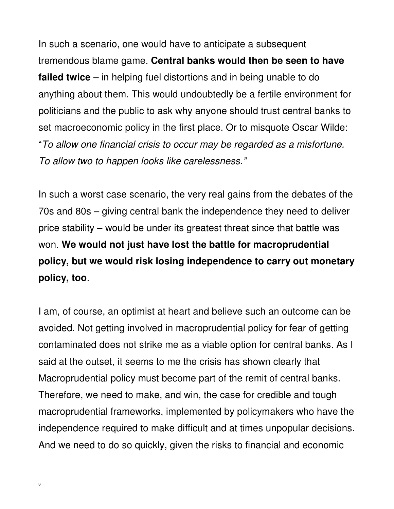In such a scenario, one would have to anticipate a subsequent tremendous blame game. **Central banks would then be seen to have failed twice** – in helping fuel distortions and in being unable to do anything about them. This would undoubtedly be a fertile environment for politicians and the public to ask why anyone should trust central banks to set macroeconomic policy in the first place. Or to misquote Oscar Wilde: "To allow one financial crisis to occur may be regarded as a misfortune. To allow two to happen looks like carelessness."

In such a worst case scenario, the very real gains from the debates of the 70s and 80s – giving central bank the independence they need to deliver price stability – would be under its greatest threat since that battle was won. **We would not just have lost the battle for macroprudential policy, but we would risk losing independence to carry out monetary policy, too**.

I am, of course, an optimist at heart and believe such an outcome can be avoided. Not getting involved in macroprudential policy for fear of getting contaminated does not strike me as a viable option for central banks. As I said at the outset, it seems to me the crisis has shown clearly that Macroprudential policy must become part of the remit of central banks. Therefore, we need to make, and win, the case for credible and tough macroprudential frameworks, implemented by policymakers who have the independence required to make difficult and at times unpopular decisions. And we need to do so quickly, given the risks to financial and economic